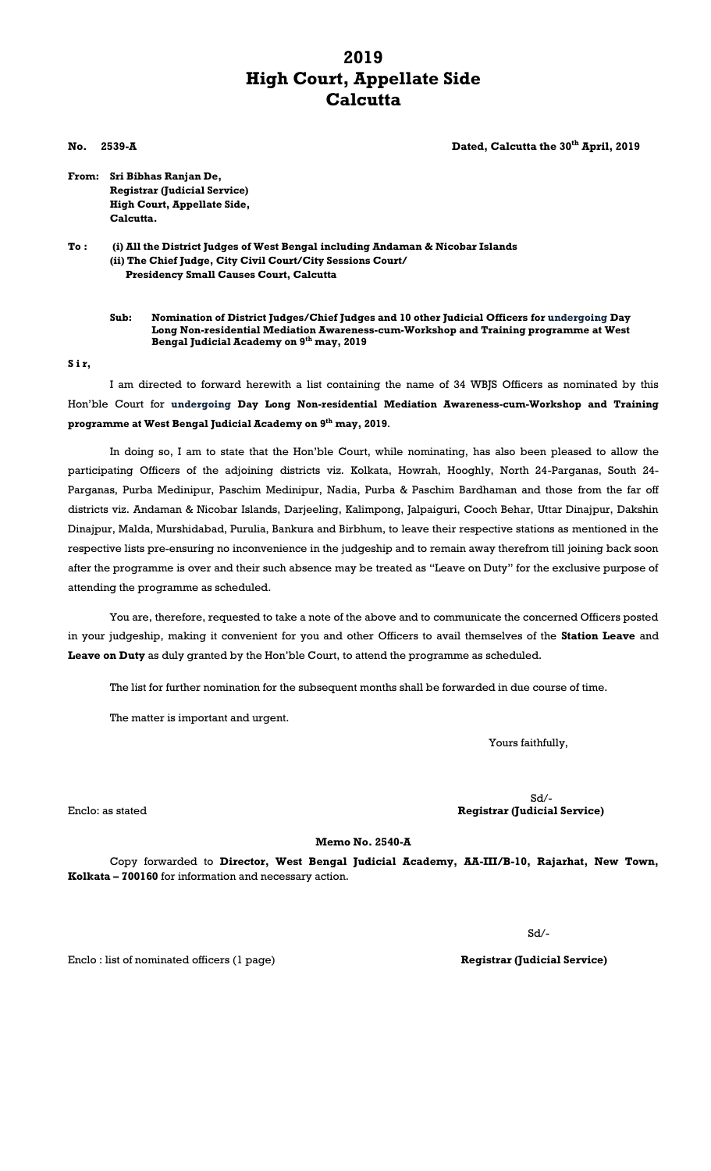## **2019 High Court, Appellate Side Calcutta**

**No. 2539-A Dated, Calcutta the 30th April, 2019**

**From: Sri Bibhas Ranjan De, Registrar (Judicial Service) High Court, Appellate Side, Calcutta.**

**To : (i) All the District Judges of West Bengal including Andaman & Nicobar Islands (ii) The Chief Judge, City Civil Court/City Sessions Court/ Presidency Small Causes Court, Calcutta**

**Sub: Nomination of District Judges/Chief Judges and 10 other Judicial Officers for undergoing Day Long Non-residential Mediation Awareness-cum-Workshop and Training programme at West Bengal Judicial Academy on 9th may, 2019**

**S i r,**

I am directed to forward herewith a list containing the name of 34 WBJS Officers as nominated by this Hon'ble Court for **undergoing Day Long Non-residential Mediation Awareness-cum-Workshop and Training programme at West Bengal Judicial Academy on 9th may, 2019**.

In doing so, I am to state that the Hon'ble Court, while nominating, has also been pleased to allow the participating Officers of the adjoining districts viz. Kolkata, Howrah, Hooghly, North 24-Parganas, South 24- Parganas, Purba Medinipur, Paschim Medinipur, Nadia, Purba & Paschim Bardhaman and those from the far off districts viz. Andaman & Nicobar Islands, Darjeeling, Kalimpong, Jalpaiguri, Cooch Behar, Uttar Dinajpur, Dakshin Dinajpur, Malda, Murshidabad, Purulia, Bankura and Birbhum, to leave their respective stations as mentioned in the respective lists pre-ensuring no inconvenience in the judgeship and to remain away therefrom till joining back soon after the programme is over and their such absence may be treated as "Leave on Duty" for the exclusive purpose of attending the programme as scheduled.

You are, therefore, requested to take a note of the above and to communicate the concerned Officers posted in your judgeship, making it convenient for you and other Officers to avail themselves of the **Station Leave** and **Leave on Duty** as duly granted by the Hon'ble Court, to attend the programme as scheduled.

The list for further nomination for the subsequent months shall be forwarded in due course of time.

The matter is important and urgent.

Yours faithfully,

Sd/- Enclo: as stated **Registrar (Judicial Service)**

**Memo No. 2540-A**

Copy forwarded to **Director, West Bengal Judicial Academy, AA-III/B-10, Rajarhat, New Town, Kolkata – 700160** for information and necessary action.

Sd/-

Enclo : list of nominated officers (1 page) **Registrar (Judicial Service)**